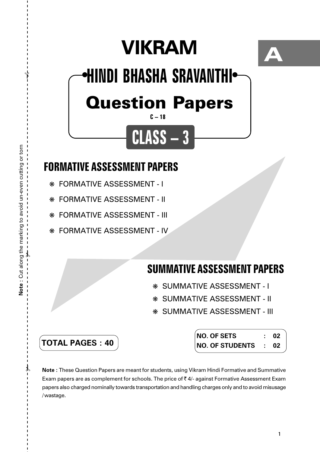# **VIKRAM**



# **HINDI BHASHA SRAVANTHI** ● ●

## Question Papers

#### **C – 18**

 $\overline{\text{CLASS}}$ 

## **FORMATIVE ASSESSMENT PAPERS**

- ❋ FORMATIVE ASSESSMENT I
- ❋ FORMATIVE ASSESSMENT II
- ❋ FORMATIVE ASSESSMENT III
- ❋ FORMATIVE ASSESSMENT IV

### **SUMMATIVE ASSESSMENT PAPERS**

- ❋ SUMMATIVE ASSESSMENT I
- ❋ SUMMATIVE ASSESSMENT II
- ❋ SUMMATIVE ASSESSMENT III

| <b>TOTAL PAGES : 40</b> |
|-------------------------|
|-------------------------|

| <b>NO. OF SETS</b>     |            | 02 |
|------------------------|------------|----|
| <b>NO. OF STUDENTS</b> | $\sim$ 100 | 02 |

**Note :** These Question Papers are meant for students, using Vikram Hindi Formative and Summative Exam papers are as complement for schools. The price of  $\bar{\tau}$  4/- against Formative Assessment Exam papers also charged nominally towards transportation and handling charges only and to avoid misusage /wastage.

 $\lambda$ 

 $\mathcal{X}$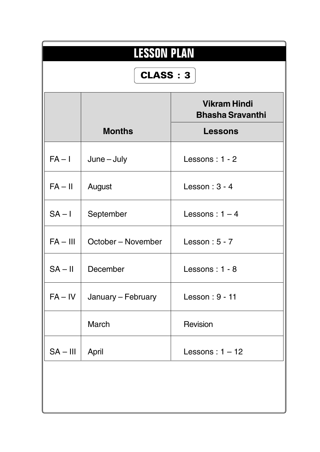| <b>LESSON PLAN</b><br><b>CLASS: 3</b> |                    |                                                                  |  |  |  |  |
|---------------------------------------|--------------------|------------------------------------------------------------------|--|--|--|--|
|                                       | <b>Months</b>      | <b>Vikram Hindi</b><br><b>Bhasha Sravanthi</b><br><b>Lessons</b> |  |  |  |  |
| $FA - I$                              | $June - July$      | Lessons: 1 - 2                                                   |  |  |  |  |
| $FA - II$                             | August             | Lesson: $3 - 4$                                                  |  |  |  |  |
| $SA - I$                              | September          | Lessons: $1 - 4$                                                 |  |  |  |  |
| $FA - III$                            | October – November | Lesson: $5 - 7$                                                  |  |  |  |  |
| $SA - II$                             | December           | Lessons: 1 - 8                                                   |  |  |  |  |
| $FA - IV$                             | January – February | Lesson: 9 - 11                                                   |  |  |  |  |
|                                       | March              | Revision                                                         |  |  |  |  |
| $SA - III$                            | April              | Lessons: $1 - 12$                                                |  |  |  |  |
|                                       |                    |                                                                  |  |  |  |  |
|                                       |                    |                                                                  |  |  |  |  |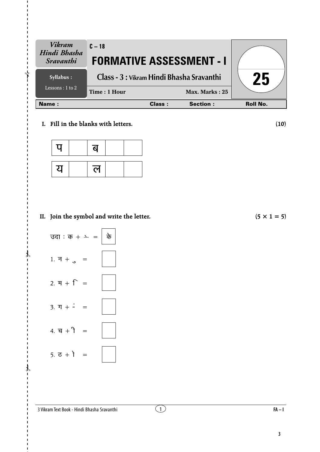| <b>Vikram</b><br>Hindi Bhasha<br><i>Sravanthi</i> | $C - 18$<br><b>FORMATIVE ASSESSMENT - I</b> |                 |                 |
|---------------------------------------------------|---------------------------------------------|-----------------|-----------------|
| Syllabus :                                        | Class - 3 : Vikram Hindi Bhasha Sravanthi   | 25              |                 |
| Lessons : $1$ to $2$                              | Time: 1 Hour                                | Max. Marks: 25  |                 |
| <b>Name:</b>                                      | Class:                                      | <b>Section:</b> | <b>Roll No.</b> |

#### I. Fill in the blanks with letters.



II. Join the symbol and write the letter.



 $(5 \times 1 = 5)$ 

 $(10)$ 

 $\mathbf{3}$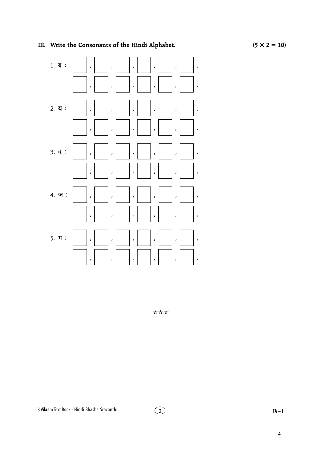#### III. Write the Consonants of the Hindi Alphabet.

 $(5 \times 2 = 10)$ 



\*\*\*

 $\overline{O}$ 

 $FA-I$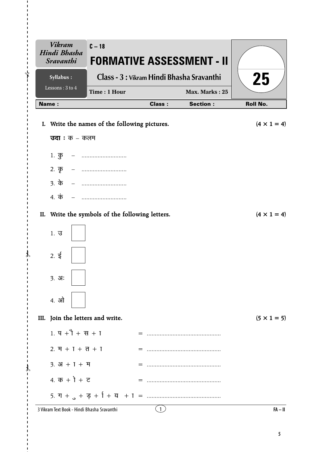|   | <b>Vikram</b><br>Hindi Bhasha               | $C - 18$                                        |                                           | <b>FORMATIVE ASSESSMENT - II</b> |                    |
|---|---------------------------------------------|-------------------------------------------------|-------------------------------------------|----------------------------------|--------------------|
|   | <b>Sravanthi</b><br>Syllabus:               |                                                 | Class - 3 : Vikram Hindi Bhasha Sravanthi |                                  | 25                 |
|   | Lessons: $3 \text{ to } 4$                  | Time: 1 Hour                                    |                                           | Max. Marks: 25                   |                    |
|   | Name:                                       |                                                 | <b>Class:</b>                             | <b>Section:</b>                  | <b>Roll No.</b>    |
|   | <b>उदा:</b> क – कलम                         | I. Write the names of the following pictures.   |                                           |                                  | $(4 \times 1 = 4)$ |
|   |                                             |                                                 |                                           |                                  |                    |
|   | $1. \overline{3}$                           | II. Write the symbols of the following letters. |                                           |                                  | $(4 \times 1 = 4)$ |
| o | 2. $\frac{1}{5}$<br>3.31                    |                                                 |                                           |                                  |                    |
|   | 4. ओ<br>III. Join the letters and write.    |                                                 |                                           |                                  | $(5 \times 1 = 5)$ |
|   | 1. $q + 1 + q + 1$                          |                                                 |                                           |                                  |                    |
|   | $2. 7 + 1 + 7 + 1$                          |                                                 |                                           |                                  |                    |
|   | $3.3I + I + H$                              |                                                 |                                           |                                  |                    |
|   | 4. $\Phi$ + 1 + $\bar{c}$                   |                                                 |                                           |                                  |                    |
|   |                                             |                                                 |                                           |                                  |                    |
|   | 3 Vikram Text Book - Hindi Bhasha Sravanthi |                                                 | (1)                                       |                                  | $FA - II$          |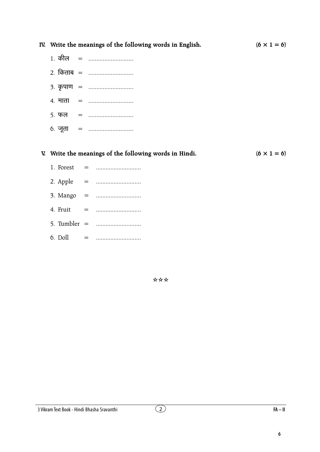|  | IV. Write the meanings of the following words in English. | $(6 \times 1 = 6)$ |
|--|-----------------------------------------------------------|--------------------|
|  | 1. कील   =                                                |                    |
|  | 2. किताब =                                                |                    |
|  | 3. कृपाण =                                                |                    |
|  |                                                           |                    |
|  |                                                           |                    |
|  |                                                           |                    |
|  |                                                           |                    |
|  | V. Write the meanings of the following words in Hindi.    | $(6 \times 1 = 6)$ |
|  |                                                           |                    |
|  |                                                           |                    |
|  |                                                           |                    |

- 
- 
- 6. Doll

\*\*\*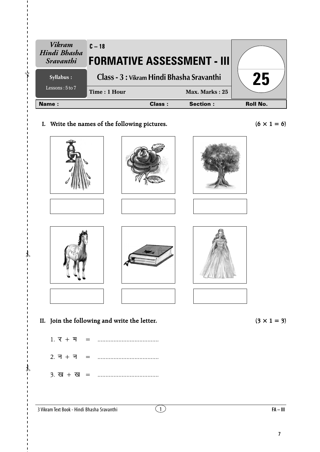| <b>Vikram</b><br>Hindi Bhasha<br><i><b>Sravanthi</b></i> | $C - 18$                                  | <b>FORMATIVE ASSESSMENT - III</b> |                 |
|----------------------------------------------------------|-------------------------------------------|-----------------------------------|-----------------|
| Syllabus :                                               | Class - 3 : Vikram Hindi Bhasha Sravanthi | 25                                |                 |
| Lessons: $5$ to $7$                                      | Time: 1 Hour                              | Max. Marks: $25$                  |                 |
| <b>Name:</b>                                             |                                           | <b>Section:</b><br>Class:         | <b>Roll No.</b> |

I. Write the names of the following pictures.

 $(6 \times 1 = 6)$ 



















II. Join the following and write the letter.

 $(3 \times 1 = 3)$ 

 $1.7 + 7$  $2. \ \overline{7} +$ न  $3. \,\text{g} +$ ख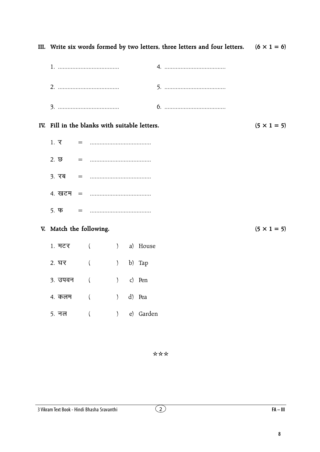III. Write six words formed by two letters, three letters and four letters.  $(6 \times 1 = 6)$ IV. Fill in the blanks with suitable letters.  $(5 \times 1 = 5)$  $1.7$  $2.55$ 3. रब  $\ldots \ldots \ldots \ldots \ldots \ldots \ldots \ldots$  $=$ 5. फ  $\,=\,$ V. Match the following.  $(5 \times 1 = 5)$ 1. मटर  $\left($ ) a) House 2. घर  $\left($  $\left( \begin{array}{c} 1 \end{array} \right)$ b) Tap 3. उपवन  $\left($  $\rightarrow$ c) Pen **4. कलम**  $\left( \begin{array}{c} \end{array} \right)$ d) Pea  $\left($ <u>5</u>. नल  $\left($  $\left( \begin{array}{c} 1 \end{array} \right)$ e) Garden

\*\*\*

 $\bigcirc$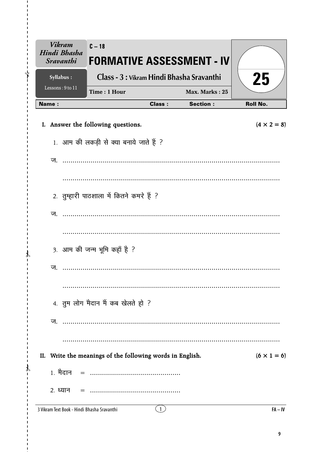| <b>Vikram</b><br>Hindi Bhasha<br><b>Sravanthi</b> | $C - 18$<br><b>FORMATIVE ASSESSMENT - IV</b>              |               |                 |                    |
|---------------------------------------------------|-----------------------------------------------------------|---------------|-----------------|--------------------|
| Syllabus:                                         | Class - 3 : Vikram Hindi Bhasha Sravanthi                 |               |                 | 25                 |
| Lessons: 9 to 11                                  | Time: 1 Hour                                              |               | Max. Marks: 25  |                    |
| Name:                                             |                                                           | <b>Class:</b> | <b>Section:</b> | <b>Roll No.</b>    |
|                                                   | I. Answer the following questions.                        |               |                 | $(4 \times 2 = 8)$ |
|                                                   | 1. आम की लकड़ी से क्या बनाये जाते हैं ?                   |               |                 |                    |
|                                                   |                                                           |               |                 |                    |
|                                                   |                                                           |               |                 |                    |
|                                                   | 2. तुम्हारी पाठशाला में कितने कमरे हैं ?                  |               |                 |                    |
| ज.                                                |                                                           |               |                 |                    |
| ज.                                                | 3. आम की जन्म भूमि कहाँ है ?                              |               |                 |                    |
|                                                   | 4. तुम लोग मैदान में कब खेलते हो ?                        |               |                 |                    |
|                                                   |                                                           |               |                 |                    |
|                                                   | II. Write the meanings of the following words in English. |               |                 | $(6 \times 1 = 6)$ |
|                                                   |                                                           |               |                 |                    |
|                                                   |                                                           |               |                 |                    |

3 Vikram Text Book - Hindi Bhasha Sravanthi

 $\mathbf{I}$  $\sqrt[4]{}$ 

 $\mathcal{X}$  $\mathbf{r}$ 

 $\mathcal{X}$ 

 $\overline{9}$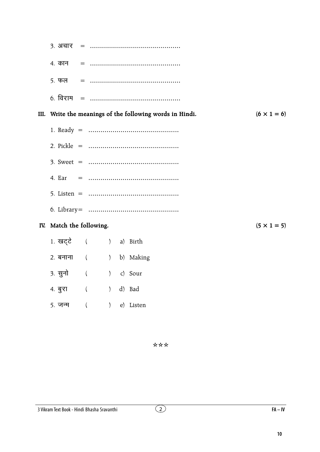|                          |          |  | III. Write the meanings of the following words in Hindi. | $(6 \times 1 = 6)$ |
|--------------------------|----------|--|----------------------------------------------------------|--------------------|
|                          |          |  |                                                          |                    |
|                          |          |  |                                                          |                    |
|                          |          |  |                                                          |                    |
| 4. Ear                   |          |  |                                                          |                    |
|                          |          |  |                                                          |                    |
|                          |          |  |                                                          |                    |
| IV. Match the following. |          |  |                                                          | $(5 \times 1 = 5)$ |
| 1. खट्टे () a) Birth     |          |  |                                                          |                    |
| $2.$ बनाना               |          |  | ( ) b) Making                                            |                    |
| 3. सुनो ( ) c) Sour      |          |  |                                                          |                    |
| 4. बुरा ( ) d) Bad       |          |  |                                                          |                    |
| 5. जन्म                  | $\left($ |  | ) e) Listen                                              |                    |

\*\*\*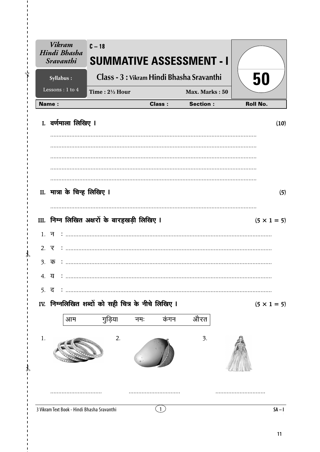| <b>Vikram</b><br>Hindi Bhasha<br><b>Sravanthi</b><br>Syllabus: | $C - 18$<br><b>SUMMATIVE ASSESSMENT - I</b> | Class - 3 : Vikram Hindi Bhasha Sravanthi |      |                             | 50                 |
|----------------------------------------------------------------|---------------------------------------------|-------------------------------------------|------|-----------------------------|--------------------|
| Lessons: 1 to 4                                                | Time: 21/2 Hour                             |                                           |      | Max. Marks: 50              |                    |
| Name:                                                          |                                             | <b>Class:</b>                             |      | <b>Section:</b>             | <b>Roll No.</b>    |
| I. वर्णमाला लिखिए ।                                            |                                             |                                           |      |                             | (10)               |
| II. मात्रा के चिन्ह लिखिए I                                    |                                             |                                           |      |                             | (5)                |
| III. निम्न लिखित अक्षरों के बारहखड़ी लिखिए I                   |                                             |                                           |      |                             | $(5 \times 1 = 5)$ |
|                                                                |                                             |                                           |      |                             |                    |
|                                                                |                                             |                                           |      |                             |                    |
| $\mathfrak{Z}$ .<br>क                                          |                                             |                                           |      |                             |                    |
| 4. य :                                                         |                                             |                                           |      |                             |                    |
| 5.<br>ਫ                                                        |                                             |                                           |      |                             |                    |
| निम्नलिखित शब्दों को सही चित्र के नीचे लिखिए ।<br>IV.          |                                             |                                           |      |                             | $(5 \times 1 = 5)$ |
| आम                                                             | गुड़िया                                     | नमः                                       | कंगन | औरत                         |                    |
| 1.                                                             | 2.                                          |                                           |      | $\overline{\mathfrak{Z}}$ . |                    |
|                                                                |                                             | $\left( 1 \right)$                        |      |                             | $SA - I$           |

 $\overline{11}$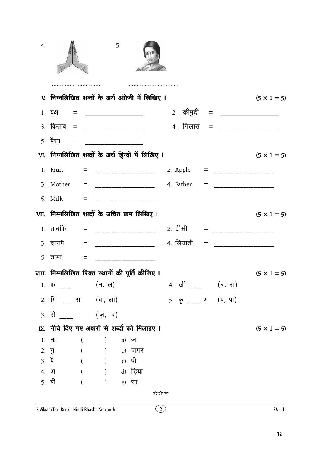| 4. |                                                                                                                                | 5. |     |                                     |     |                              |                    |
|----|--------------------------------------------------------------------------------------------------------------------------------|----|-----|-------------------------------------|-----|------------------------------|--------------------|
|    | V. निम्नलिखित शब्दों के अर्थ अंग्रेजी में लिखिए ।                                                                              |    |     |                                     |     |                              | $(5 \times 1 = 5)$ |
|    |                                                                                                                                |    |     |                                     |     | 2. कौमुदी = ________________ |                    |
|    | 3. किताब = __________________                                                                                                  |    |     |                                     |     |                              |                    |
|    | 5. पैसा = ______________                                                                                                       |    |     |                                     |     |                              |                    |
|    | VI. निम्नलिखित शब्दों के अर्थ हिन्दी में लिखिए I                                                                               |    |     |                                     |     |                              | $(5 \times 1 = 5)$ |
|    | 1. Fruit                                                                                                                       |    |     |                                     |     |                              |                    |
|    |                                                                                                                                |    |     |                                     | $=$ |                              |                    |
|    | 5. Milk<br>and the contract of the contract of the contract of the contract of the contract of the contract of the contract of |    |     |                                     |     |                              |                    |
|    | VII. निम्नलिखित शब्दों के उचित क्रम लिखिए I                                                                                    |    |     |                                     |     |                              | $(5 \times 1 = 5)$ |
|    | 1. ताबकि<br>$=$                                                                                                                |    |     | 2. टीसी                             |     |                              |                    |
|    | 3. दानमें<br>$\qquad \qquad =$                                                                                                 |    |     |                                     | $=$ | ________________________     |                    |
|    | $5.$ तामा<br>1000 Hz → 1000 Hz → 1000 Hz → 1000                                                                                |    |     |                                     |     |                              |                    |
|    | VIII. निम्नलिखित रिक्त स्थानों की पूर्ति कीजिए ।                                                                               |    |     |                                     |     |                              | $(5 \times 1 = 5)$ |
|    | 1. $\overline{\Phi}$ ____ (न, ल)                                                                                               |    |     | 4. खी ___ (र, रा)                   |     |                              |                    |
|    | 2. गि स (बा, ला)                                                                                                               |    |     | 5. $\overline{\Phi}$ ____ ण (प, पा) |     |                              |                    |
|    | 3. से (ज़, ब)                                                                                                                  |    |     |                                     |     |                              |                    |
|    | IX. नीचे दिए गए अक्षरों से शब्दों को मिलाइए I                                                                                  |    |     |                                     |     |                              | $(5 \times 1 = 5)$ |
|    | $1.$ $\overline{R}$<br>$($ ) a) ज                                                                                              |    |     |                                     |     |                              |                    |
|    |                                                                                                                                |    |     |                                     |     |                              |                    |
|    | 2. $\frac{\pi}{3}$ ( ) b) जगर<br>3. पै ( ) c) षी                                                                               |    |     |                                     |     |                              |                    |
|    | 4. अ ( ) d) ड़िया                                                                                                              |    |     |                                     |     |                              |                    |
|    | 5. बी () e) सा                                                                                                                 |    |     |                                     |     |                              |                    |
|    |                                                                                                                                |    | *** |                                     |     |                              |                    |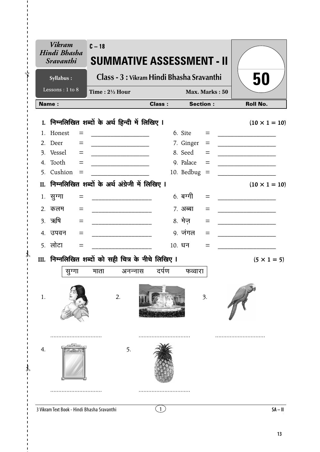| <b>Vikram</b><br>Hindi Bhasha<br><i><b>Sravanthi</b></i> | $C - 18$<br><b>SUMMATIVE ASSESSMENT - II</b>                    |               |                              |                                          |
|----------------------------------------------------------|-----------------------------------------------------------------|---------------|------------------------------|------------------------------------------|
| Syllabus:                                                | Class - 3 : Vikram Hindi Bhasha Sravanthi                       |               |                              | 50                                       |
| Lessons: 1 to 8                                          | Time: 21/2 Hour                                                 |               | Max. Marks: 50               |                                          |
| Name:                                                    |                                                                 | <b>Class:</b> | <b>Section:</b>              | <b>Roll No.</b>                          |
| I.                                                       | निम्नलिखित शब्दों के अर्थ हिन्दी में लिखिए ।                    |               |                              | $(10 \times 1 = 10)$                     |
| Honest<br>1.<br>$=$                                      | <u> 1980 - Johann Barn, mars an t-Amerikaansk kommunister (</u> |               | 6. Site<br>$\qquad \qquad =$ |                                          |
| 2. Deer<br>=                                             | <u> 1989 - Johann Barbara, martin a</u>                         |               | 7. Ginger<br>$=$             |                                          |
| Vessel<br>3.<br>$=$                                      |                                                                 |               | 8. Seed<br>$=$               |                                          |
| 4. Tooth<br>$=$                                          |                                                                 |               | 9. Palace<br>$=$             |                                          |
| 5. Cushion<br>$=$                                        |                                                                 |               | 10. Bedbug $=$               |                                          |
|                                                          | II. निम्नलिखित शब्दों के अर्थ अंग्रेजी में लिखिए I              |               |                              | $(10 \times 1 = 10)$                     |
| 1. सुग्गा<br>$=$                                         |                                                                 |               | $6.$ बग्गी<br>$=$            |                                          |
| 2. कलम<br>$=$                                            |                                                                 |               | 7. अब्बा<br>$\equiv$         |                                          |
| 3. ऋषि<br>$=$                                            |                                                                 |               | 8. मेज़<br>$=$               |                                          |
| 4. उपवन<br>$=$                                           |                                                                 |               | 9. जंगल<br>$=$               |                                          |
| 5. लोटा<br>$=$                                           |                                                                 |               | 10. धन<br>$=$                | <u> 1980 - Johann Barbara, martxa al</u> |
|                                                          |                                                                 |               |                              |                                          |
|                                                          | III. निम्नलिखित शब्दों को सही चित्र के नीचे लिखिए I             |               |                              | $(5 \times 1 = 5)$                       |
| सुग्गा                                                   | माता<br>अनन्नास                                                 | दर्पण         | फव्वारा                      |                                          |
| $\mathbf{1}$ .                                           | 2.                                                              |               | $\overline{\mathbf{3}}$ .    |                                          |
| www.30 www.<br>4.                                        | 5.                                                              |               |                              |                                          |
| 3 Vikram Text Book - Hindi Bhasha Sravanthi              |                                                                 | $\mathbf{1}$  |                              | $SA - II$                                |

 $\overline{\phantom{a}}$ 

ł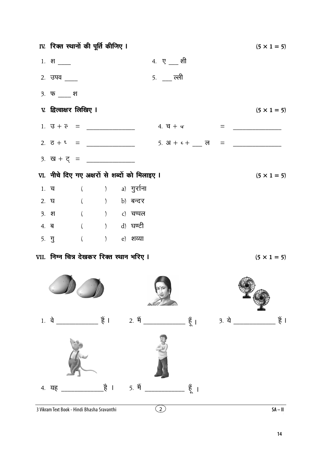| IV. रिक्त स्थानों की पूर्ति कीजिए I           |  |                              | $(5 \times 1 = 5)$ |
|-----------------------------------------------|--|------------------------------|--------------------|
|                                               |  | 4. ए $\frac{1}{\sqrt{2}}$ शी |                    |
| $2.$ उपव $\_\_$                               |  | <u>5. ल्ली</u>               |                    |
| 3. फ ___ श                                    |  |                              |                    |
| V. द्वित्वाक्षर लिखिए ।                       |  |                              | $(5 \times 1 = 5)$ |
|                                               |  |                              |                    |
|                                               |  |                              |                    |
|                                               |  |                              |                    |
| VI. नीचे दिए गए अक्षरों से शब्दों को मिलाइए I |  |                              | $(5 \times 1 = 5)$ |
| 1. च ( ) a) गुर्राना                          |  |                              |                    |
| 2. घ ( ) b) बन्दर                             |  |                              |                    |
| 3. श ( ) c) चप्पल                             |  |                              |                    |
| 4. ब ( ) d) घण्टी                             |  |                              |                    |
| 5. गु ( ) e) शय्या                            |  |                              |                    |
| VII. निम्न चित्र देखकर रिक्त स्थान भरिए I     |  |                              | $(5 \times 1 = 5)$ |
|                                               |  |                              |                    |
|                                               |  |                              |                    |
|                                               |  |                              |                    |
|                                               |  |                              |                    |
|                                               |  |                              |                    |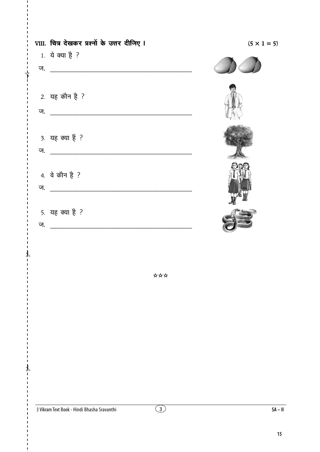|    | VIII. चित्र देखकर प्रश्नों के उत्तर दीजिए ।                                                                                              | $(5 \times 1 = 5)$ |
|----|------------------------------------------------------------------------------------------------------------------------------------------|--------------------|
|    | 1. ये क्या है ?                                                                                                                          |                    |
| ज. | <u> 1999 - Jan James James Barnett, fransk politik (d. 1989)</u>                                                                         |                    |
|    | 2. यह कौन है ?                                                                                                                           |                    |
| ज. |                                                                                                                                          |                    |
| ज. | 3. यह क्या हैं ?<br><u> 1989 - Johann Barbara, martin amerikan basal dan basal dan basal dan basal dan basal dan basal dan basal dan</u> |                    |
|    | 4. वे कौन है ?                                                                                                                           |                    |
| ज. | 5. यह क्या है ?                                                                                                                          |                    |
| ज. |                                                                                                                                          |                    |
|    |                                                                                                                                          |                    |
|    | ***                                                                                                                                      |                    |
|    |                                                                                                                                          |                    |
|    |                                                                                                                                          |                    |
|    |                                                                                                                                          |                    |
|    |                                                                                                                                          |                    |
|    |                                                                                                                                          |                    |

 $\overline{1}$  $\sqrt{ }$ 

 $\mathbf{I}$ 

ł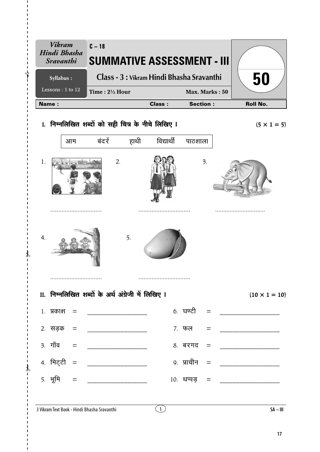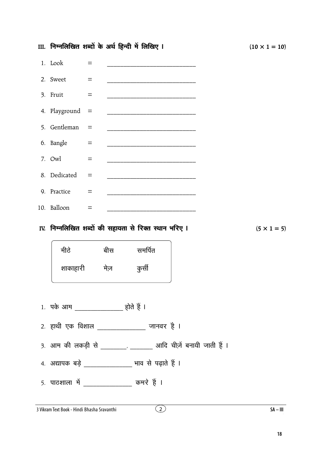

1. पके आम \_\_\_\_\_\_\_\_\_\_\_\_\_\_\_\_\_ होते हैं ।

III. निम्नलिखित शब्दों के अर्थ हिन्दी में लिखिए I

- 2. हाथी एक विशाल \_\_\_\_\_\_\_\_\_\_\_\_\_\_\_\_ जानवर है ।
- 3. आम की लकड़ी से \_\_\_\_\_\_\_\_, \_\_\_\_\_\_\_ आदि चीज़ें बनायी जाती हैं ।
- 4. अद्यापक बड़े \_\_\_\_\_\_\_\_\_\_\_\_\_\_\_ भाव से पढ़ाते हैं ।
- 5. पाठशाला में <u>| | | | | | | | | कमरे</u> हैं ।

3 Vikram Text Book - Hindi Bhasha Sravanthi

 $(10 \times 1 = 10)$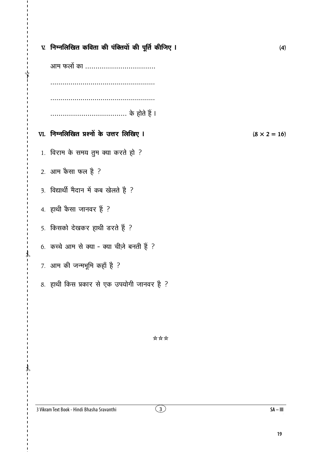| V. निम्नलिखित कविता की पंक्तियों की पूर्ति कीजिए I | (4)                 |
|----------------------------------------------------|---------------------|
| आम फलों का                                         |                     |
|                                                    |                     |
|                                                    |                     |
|                                                    |                     |
| VI. निम्नलिखित प्रश्नों के उत्तर लिखिए I           | $(8 \times 2 = 16)$ |
| 1. विराम के समय तुम क्या करते हो ?                 |                     |
| 2. आम कैसा फल है ?                                 |                     |
| 3. विद्यार्थी मैदान में कब खेलते है ?              |                     |
| 4. हाथी कैसा जानवर हैं ?                           |                     |
| 5. किसको देखकर हाथी डरते हैं ?                     |                     |
| 6. कच्चे आम से क्या - क्या चीज़े बनती हैं ?        |                     |
| 7. आम की जन्मभूमि कहाँ है ?                        |                     |
| 8. हाथी किस प्रकार से एक उपयोगी जानवर है ?         |                     |
|                                                    |                     |
|                                                    |                     |
| ***                                                |                     |
|                                                    |                     |
|                                                    |                     |
|                                                    |                     |

 $\mathbf{I}$  $\bigg\uparrow$ 

 $\mathcal{X}$  $\mathbf{r}$ 

 $\mathcal{F}$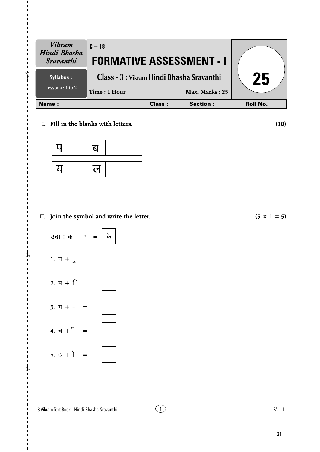| <b>Vikram</b><br>Hindi Bhasha<br><i>Sravanthi</i> | $C - 18$<br><b>FORMATIVE ASSESSMENT - I</b> |        |                 |                 |
|---------------------------------------------------|---------------------------------------------|--------|-----------------|-----------------|
| Syllabus :                                        | Class - 3 : Vikram Hindi Bhasha Sravanthi   |        |                 | 25              |
| Lessons : $1$ to $2$                              | Time: 1 Hour                                |        | Max. Marks: 25  |                 |
| <b>Name:</b>                                      |                                             | Class: | <b>Section:</b> | <b>Roll No.</b> |

#### I. Fill in the blanks with letters.



#### II. Join the symbol and write the letter.



 $\bigodot$ 

 $(5 \times 1 = 5)$ 

 $(10)$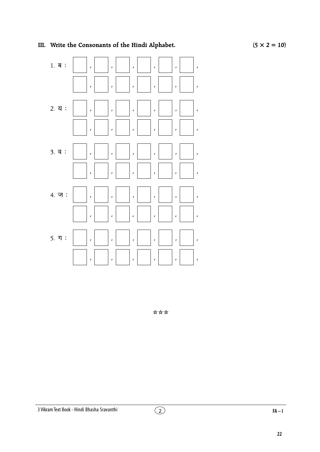#### III. Write the Consonants of the Hindi Alphabet.

 $(5 \times 2 = 10)$ 



\*\*\*

 $\overline{O}$ 

 $FA-I$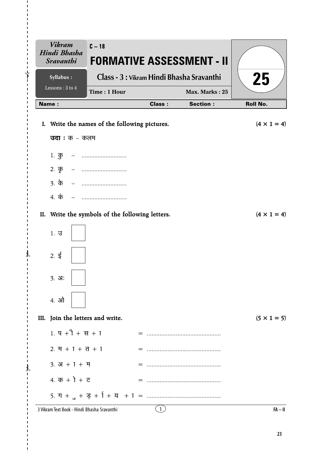| <b>Vikram</b><br>Hindi Bhasha<br><b>Sravanthi</b>                    | $C - 18$     |                                           | <b>FORMATIVE ASSESSMENT - II</b> |                    |
|----------------------------------------------------------------------|--------------|-------------------------------------------|----------------------------------|--------------------|
| Syllabus:                                                            |              | Class - 3 : Vikram Hindi Bhasha Sravanthi |                                  | 25                 |
| Lessons: 3 to 4                                                      | Time: 1 Hour |                                           | Max. Marks: 25                   |                    |
| Name:                                                                |              | <b>Class:</b>                             | <b>Section:</b>                  | <b>Roll No.</b>    |
| I. Write the names of the following pictures.<br><b>उदा:</b> क – कलम |              |                                           |                                  | $(4 \times 1 = 4)$ |
|                                                                      |              |                                           |                                  |                    |
|                                                                      |              |                                           |                                  | $(4 \times 1 = 4)$ |
| II. Write the symbols of the following letters.<br>1.7J<br>2.5<br>o  |              |                                           |                                  |                    |
| $3.31$ :<br>4. ओ<br>III. Join the letters and write.                 |              |                                           |                                  | $(5 \times 1 = 5)$ |
| 1. $q + 1 + q + 1$                                                   |              |                                           |                                  |                    |
| $2. F + I + T + T + I$                                               |              |                                           |                                  |                    |
| $3.3I + I + H$                                                       |              |                                           |                                  |                    |
| 4. $\Phi$ + 1 + $\bar{c}$                                            |              |                                           |                                  |                    |
| 3 Vikram Text Book - Hindi Bhasha Sravanthi                          |              | $\overline{1}$                            |                                  | $FA - II$          |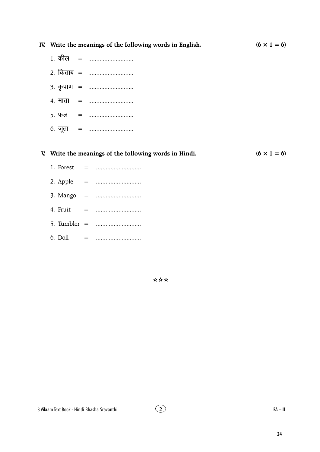|  | IV. Write the meanings of the following words in English. | $(6 \times 1 = 6)$ |
|--|-----------------------------------------------------------|--------------------|
|  | 1. कील   =                                                |                    |
|  | 2. किताब =                                                |                    |
|  | 3. कृपाण =                                                |                    |
|  |                                                           |                    |
|  |                                                           |                    |
|  |                                                           |                    |
|  |                                                           |                    |
|  | V. Write the meanings of the following words in Hindi.    | $(6 \times 1 = 6)$ |
|  |                                                           |                    |
|  |                                                           |                    |
|  |                                                           |                    |

- 
- 
- 

\*\*\*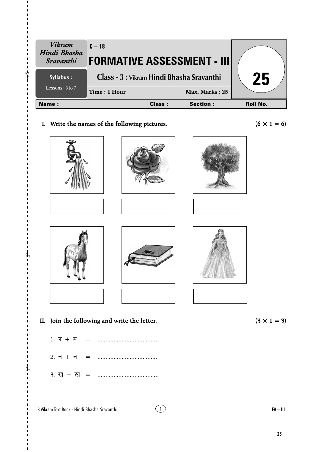| <b>Vikram</b><br>Hindi Bhasha         | $C - 18$                                                                       |                 |                 |
|---------------------------------------|--------------------------------------------------------------------------------|-----------------|-----------------|
| <i><b>Sravanthi</b></i><br>Syllabus : | <b>FORMATIVE ASSESSMENT - III</b><br>Class - 3 : Vikram Hindi Bhasha Sravanthi | 25              |                 |
| Lessons: $5$ to $7$                   | Time: 1 Hour                                                                   | Max. Marks: 25  |                 |
| <b>Name:</b>                          | Class:                                                                         | <b>Section:</b> | <b>Roll No.</b> |

I. Write the names of the following pictures.

 $(6 \times 1 = 6)$ 



















II. Join the following and write the letter.

 $(3 \times 1 = 3)$ 

 $1.7 + 7$  $2. \ \overline{7} +$ न  $3. \,\text{g} +$ ख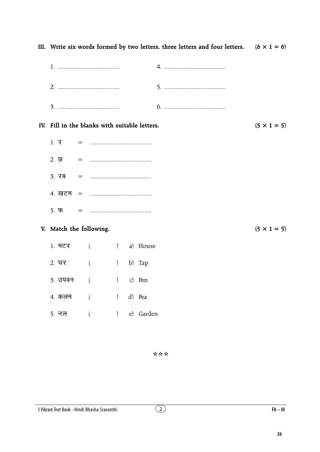III. Write six words formed by two letters, three letters and four letters.  $(6 \times 1 = 6)$ IV. Fill in the blanks with suitable letters.  $(5 \times 1 = 5)$  $1.7$  $2.55$ 3. रब  $=$ 4. खटम = 5. फ  $\,=\,$ V. Match the following.  $(5 \times 1 = 5)$ 1. मटर  $\left($ ) a) House 2. घर  $\left($  $\left( \begin{array}{c} 1 \end{array} \right)$ b) Tap 3. उपवन  $\left($  $\rightarrow$ c) Pen 4. कलम  $\left( \begin{array}{c} \end{array} \right)$ d) Pea  $\left($ <u>5</u>. नल  $\left($  $\left( \begin{array}{c} 1 \end{array} \right)$ e) Garden

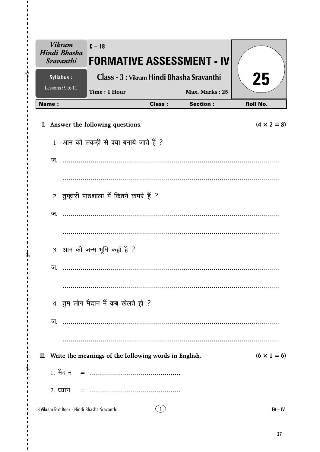| <b>Vikram</b><br>Hindi Bhasha<br><b>Sravanthi</b> | $C - 18$<br><b>FORMATIVE ASSESSMENT - IV</b>              |               |                 |                    |
|---------------------------------------------------|-----------------------------------------------------------|---------------|-----------------|--------------------|
| Syllabus:                                         | Class - 3 : Vikram Hindi Bhasha Sravanthi                 | 25            |                 |                    |
| Lessons: 9 to 11                                  | Time: 1 Hour                                              |               | Max. Marks: 25  |                    |
| <b>Name:</b>                                      |                                                           | <b>Class:</b> | <b>Section:</b> | <b>Roll No.</b>    |
|                                                   | I. Answer the following questions.                        |               |                 | $(4 \times 2 = 8)$ |
|                                                   | 1. आम की लकड़ी से क्या बनाये जाते हैं ?                   |               |                 |                    |
|                                                   |                                                           |               |                 |                    |
|                                                   |                                                           |               |                 |                    |
|                                                   | 2. तुम्हारी पाठशाला में कितने कमरे हैं ?                  |               |                 |                    |
| ज.                                                |                                                           |               |                 |                    |
| ज.                                                | 3. आम की जन्म भूमि कहाँ है ?                              |               |                 |                    |
|                                                   | 4. तुम लोग मैदान में कब खेलते हो ?                        |               |                 |                    |
|                                                   |                                                           |               |                 |                    |
|                                                   | II. Write the meanings of the following words in English. |               |                 | $(6 \times 1 = 6)$ |
| 1. मैदान                                          |                                                           |               |                 |                    |
|                                                   |                                                           |               |                 |                    |

3 Vikram Text Book - Hindi Bhasha Sravanthi

 $\mathbf{I}$  $\sqrt[4]{}$ 

 $\gamma$  $\overline{1}$ 

 $\mathcal{K}$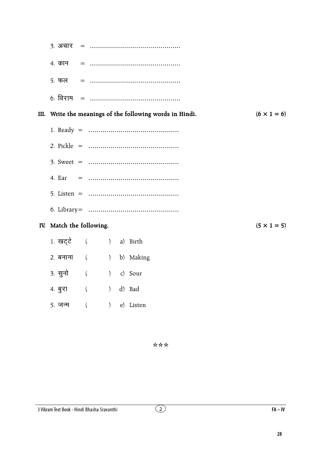|      | ३. अचार                  |          |  |                                                     |                    |
|------|--------------------------|----------|--|-----------------------------------------------------|--------------------|
|      |                          |          |  |                                                     |                    |
|      |                          |          |  |                                                     |                    |
|      | 6. विराम                 |          |  |                                                     |                    |
| III. |                          |          |  | Write the meanings of the following words in Hindi. | $(6 \times 1 = 6)$ |
|      |                          |          |  |                                                     |                    |
|      |                          |          |  |                                                     |                    |
|      |                          |          |  |                                                     |                    |
|      | 4. Ear                   |          |  |                                                     |                    |
|      |                          |          |  |                                                     |                    |
|      |                          |          |  |                                                     |                    |
|      | IV. Match the following. |          |  |                                                     | $(5 \times 1 = 5)$ |
|      | 1. खट्टे () a) Birth     |          |  |                                                     |                    |
|      | $2.$ बनाना               |          |  | ( ) b) Making                                       |                    |
|      | 3. सुनो ( ) c) Sour      |          |  |                                                     |                    |
|      | 4. बुरा ( ) d) Bad       |          |  |                                                     |                    |
|      | 5. जन्म                  | $\left($ |  | ) e) Listen                                         |                    |

\*\*\*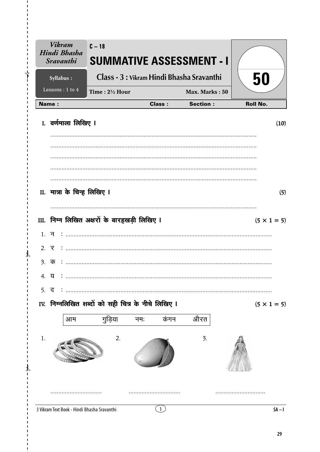| <b>Vikram</b><br>Hindi Bhasha<br><b>Sravanthi</b><br>Syllabus: | $C - 18$<br><b>SUMMATIVE ASSESSMENT - I</b> | Class - 3 : Vikram Hindi Bhasha Sravanthi |      |                             | 50                 |
|----------------------------------------------------------------|---------------------------------------------|-------------------------------------------|------|-----------------------------|--------------------|
| Lessons: 1 to 4                                                | Time: 21/2 Hour                             |                                           |      | Max. Marks: 50              |                    |
| Name:                                                          |                                             | <b>Class:</b>                             |      | <b>Section:</b>             | <b>Roll No.</b>    |
| I. वर्णमाला लिखिए ।                                            |                                             |                                           |      |                             | (10)               |
| II. मात्रा के चिन्ह लिखिए I                                    |                                             |                                           |      |                             | (5)                |
| III. निम्न लिखित अक्षरों के बारहखड़ी लिखिए I                   |                                             |                                           |      |                             | $(5 \times 1 = 5)$ |
|                                                                |                                             |                                           |      |                             |                    |
|                                                                |                                             |                                           |      |                             |                    |
| $\mathfrak{Z}$ .<br>क                                          |                                             |                                           |      |                             |                    |
| 4. य :                                                         |                                             |                                           |      |                             |                    |
| 5.<br>ਫ                                                        |                                             |                                           |      |                             |                    |
| निम्नलिखित शब्दों को सही चित्र के नीचे लिखिए ।<br>IV.          |                                             |                                           |      |                             | $(5 \times 1 = 5)$ |
| आम                                                             | गुड़िया                                     | नमः                                       | कंगन | औरत                         |                    |
| 1.                                                             | 2.                                          |                                           |      | $\overline{\mathfrak{Z}}$ . |                    |
|                                                                |                                             | $\left( 1 \right)$                        |      |                             | $SA - I$           |

ł

⇃

 $29$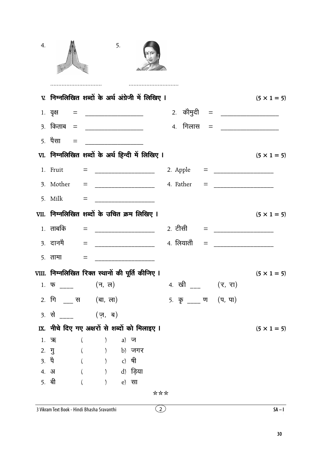| 4. |                                                                                                                                | 5. |     |                                     |     |                              |                    |
|----|--------------------------------------------------------------------------------------------------------------------------------|----|-----|-------------------------------------|-----|------------------------------|--------------------|
|    | V. निम्नलिखित शब्दों के अर्थ अंग्रेजी में लिखिए ।                                                                              |    |     |                                     |     |                              | $(5 \times 1 = 5)$ |
|    |                                                                                                                                |    |     |                                     |     | 2. कौमुदी = ________________ |                    |
|    | 3. किताब = __________________                                                                                                  |    |     |                                     |     |                              |                    |
|    | 5. पैसा = ______________                                                                                                       |    |     |                                     |     |                              |                    |
|    | VI. निम्नलिखित शब्दों के अर्थ हिन्दी में लिखिए I                                                                               |    |     |                                     |     |                              | $(5 \times 1 = 5)$ |
|    | 1. Fruit                                                                                                                       |    |     |                                     |     |                              |                    |
|    |                                                                                                                                |    |     |                                     | $=$ |                              |                    |
|    | 5. Milk<br>and the contract of the contract of the contract of the contract of the contract of the contract of the contract of |    |     |                                     |     |                              |                    |
|    | VII. निम्नलिखित शब्दों के उचित क्रम लिखिए I                                                                                    |    |     |                                     |     |                              | $(5 \times 1 = 5)$ |
|    | 1. ताबकि<br>$=$                                                                                                                |    |     | 2. टीसी                             |     |                              |                    |
|    | 3. दानमें<br>$\qquad \qquad =$                                                                                                 |    |     |                                     | $=$ | ________________________     |                    |
|    | $5.$ तामा<br>1000 Hz → 1000 Hz → 1000 Hz → 1000                                                                                |    |     |                                     |     |                              |                    |
|    | VIII. निम्नलिखित रिक्त स्थानों की पूर्ति कीजिए ।                                                                               |    |     |                                     |     |                              | $(5 \times 1 = 5)$ |
|    | 1. $\overline{\Phi}$ ____ (न, ल)                                                                                               |    |     | 4. खी ___ (र, रा)                   |     |                              |                    |
|    | 2. गि स (बा, ला)                                                                                                               |    |     | 5. $\overline{\Phi}$ ____ ण (प, पा) |     |                              |                    |
|    | 3. से (ज़, ब)                                                                                                                  |    |     |                                     |     |                              |                    |
|    | IX. नीचे दिए गए अक्षरों से शब्दों को मिलाइए I                                                                                  |    |     |                                     |     |                              | $(5 \times 1 = 5)$ |
|    | $1.$ $\overline{R}$<br>$($ ) a) ज                                                                                              |    |     |                                     |     |                              |                    |
|    |                                                                                                                                |    |     |                                     |     |                              |                    |
|    | 2. $\frac{\pi}{3}$ ( ) b) जगर<br>3. पै ( ) c) षी                                                                               |    |     |                                     |     |                              |                    |
|    | 4. अ ( ) d) ड़िया                                                                                                              |    |     |                                     |     |                              |                    |
|    | 5. बी () e) सा                                                                                                                 |    |     |                                     |     |                              |                    |
|    |                                                                                                                                |    | *** |                                     |     |                              |                    |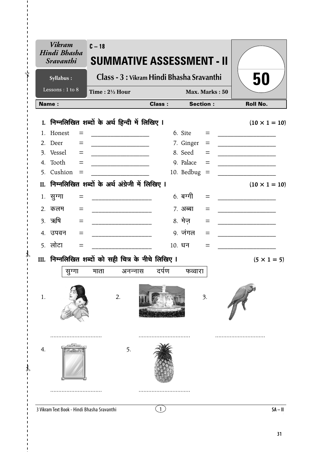| <b>Vikram</b><br>Hindi Bhasha<br><i><b>Sravanthi</b></i> | $C - 18$<br><b>SUMMATIVE ASSESSMENT - II</b>                    |               |                              |                                          |
|----------------------------------------------------------|-----------------------------------------------------------------|---------------|------------------------------|------------------------------------------|
| Syllabus:                                                | Class - 3 : Vikram Hindi Bhasha Sravanthi                       |               |                              | 50                                       |
| Lessons: 1 to 8                                          | Time: 21/2 Hour                                                 |               | Max. Marks: 50               |                                          |
| Name:                                                    |                                                                 | <b>Class:</b> | <b>Section:</b>              | <b>Roll No.</b>                          |
| I.                                                       | निम्नलिखित शब्दों के अर्थ हिन्दी में लिखिए ।                    |               |                              | $(10 \times 1 = 10)$                     |
| Honest<br>1.<br>$=$                                      | <u> 1980 - Johann Barn, mars an t-Amerikaansk kommunister (</u> |               | 6. Site<br>$\qquad \qquad =$ |                                          |
| 2. Deer<br>=                                             | <u> 1989 - Johann Barbara, martin a</u>                         |               | 7. Ginger<br>$=$             |                                          |
| Vessel<br>3.<br>$=$                                      |                                                                 |               | 8. Seed<br>$=$               |                                          |
| 4. Tooth<br>$=$                                          |                                                                 |               | 9. Palace<br>$=$             |                                          |
| 5. Cushion<br>$=$                                        |                                                                 |               | 10. Bedbug $=$               |                                          |
|                                                          | II. निम्नलिखित शब्दों के अर्थ अंग्रेजी में लिखिए I              |               |                              | $(10 \times 1 = 10)$                     |
| 1. सुग्गा<br>$=$                                         |                                                                 |               | $6.$ बग्गी<br>$=$            |                                          |
| 2. कलम<br>$=$                                            |                                                                 |               | 7. अब्बा<br>$=$              |                                          |
| 3. ऋषि<br>$=$                                            |                                                                 |               | 8. मेज़<br>$=$               |                                          |
| 4. उपवन<br>$=$                                           |                                                                 |               | 9. जंगल<br>$=$               |                                          |
| 5. लोटा<br>$=$                                           |                                                                 |               | 10. धन<br>$=$                | <u> 1980 - Johann Barbara, martxa al</u> |
|                                                          |                                                                 |               |                              |                                          |
|                                                          | III. निम्नलिखित शब्दों को सही चित्र के नीचे लिखिए I             |               |                              | $(5 \times 1 = 5)$                       |
| सुग्गा                                                   | माता<br>अनन्नास                                                 | दर्पण         | फव्वारा                      |                                          |
| $\mathbf{1}$ .                                           | 2.                                                              |               | $\overline{\mathbf{3}}$ .    |                                          |
| www.30 www.<br>4.                                        | 5.                                                              |               |                              |                                          |
| 3 Vikram Text Book - Hindi Bhasha Sravanthi              |                                                                 | $\mathbf{1}$  |                              | $SA - II$                                |

 $\frac{1}{2}$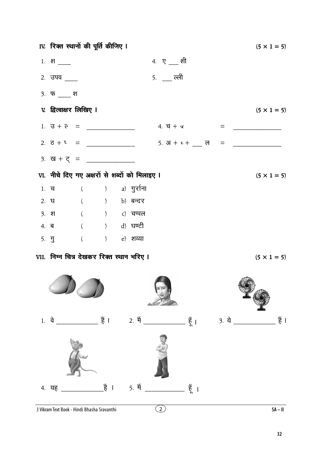| IV. रिक्त स्थानों की पूर्ति कीजिए I           |  |                                                                                                                                                                                                                                                                                                                                                                                                                                                                                                                         | $(5 \times 1 = 5)$ |
|-----------------------------------------------|--|-------------------------------------------------------------------------------------------------------------------------------------------------------------------------------------------------------------------------------------------------------------------------------------------------------------------------------------------------------------------------------------------------------------------------------------------------------------------------------------------------------------------------|--------------------|
|                                               |  | 4. ए $\frac{1}{\sqrt{2}}$ शी                                                                                                                                                                                                                                                                                                                                                                                                                                                                                            |                    |
| 2. उपव ____                                   |  | 5 <i>.</i> ल्ली                                                                                                                                                                                                                                                                                                                                                                                                                                                                                                         |                    |
| $3.$ फ $\_\_\$ श                              |  |                                                                                                                                                                                                                                                                                                                                                                                                                                                                                                                         |                    |
| V. द्वित्वाक्षर लिखिए ।                       |  |                                                                                                                                                                                                                                                                                                                                                                                                                                                                                                                         | $(5 \times 1 = 5)$ |
|                                               |  |                                                                                                                                                                                                                                                                                                                                                                                                                                                                                                                         |                    |
|                                               |  |                                                                                                                                                                                                                                                                                                                                                                                                                                                                                                                         |                    |
| $3.$ ख + ट् = ___________                     |  |                                                                                                                                                                                                                                                                                                                                                                                                                                                                                                                         |                    |
| VI. नीचे दिए गए अक्षरों से शब्दों को मिलाइए I |  |                                                                                                                                                                                                                                                                                                                                                                                                                                                                                                                         | $(5 \times 1 = 5)$ |
| 1. च ( ) a) गुर्राना                          |  |                                                                                                                                                                                                                                                                                                                                                                                                                                                                                                                         |                    |
| 2. घ ( ) b) बन्दर                             |  |                                                                                                                                                                                                                                                                                                                                                                                                                                                                                                                         |                    |
| 3. श ( ) c) चप्पल                             |  |                                                                                                                                                                                                                                                                                                                                                                                                                                                                                                                         |                    |
| 4. ब ( ) d) घण्टी                             |  |                                                                                                                                                                                                                                                                                                                                                                                                                                                                                                                         |                    |
| 5. गु ( ) e) शय्या                            |  |                                                                                                                                                                                                                                                                                                                                                                                                                                                                                                                         |                    |
| VII.  निम्न चित्र देखकर रिक्त स्थान भरिए ।    |  |                                                                                                                                                                                                                                                                                                                                                                                                                                                                                                                         | $(5 \times 1 = 5)$ |
|                                               |  |                                                                                                                                                                                                                                                                                                                                                                                                                                                                                                                         |                    |
|                                               |  | 1. $\vec{a}$ $\overrightarrow{B}$ $\overrightarrow{C}$ $\overrightarrow{B}$ $\overrightarrow{C}$ $\overrightarrow{C}$ $\overrightarrow{C}$ $\overrightarrow{C}$ $\overrightarrow{C}$ $\overrightarrow{C}$ $\overrightarrow{C}$ $\overrightarrow{C}$ $\overrightarrow{C}$ $\overrightarrow{C}$ $\overrightarrow{C}$ $\overrightarrow{C}$ $\overrightarrow{C}$ $\overrightarrow{C}$ $\overrightarrow{C}$ $\overrightarrow{C}$ $\overrightarrow{C}$ $\overrightarrow{C}$ $\overrightarrow{C}$ $\overrightarrow{C}$ $\over$ |                    |
|                                               |  |                                                                                                                                                                                                                                                                                                                                                                                                                                                                                                                         |                    |
|                                               |  |                                                                                                                                                                                                                                                                                                                                                                                                                                                                                                                         |                    |
|                                               |  |                                                                                                                                                                                                                                                                                                                                                                                                                                                                                                                         |                    |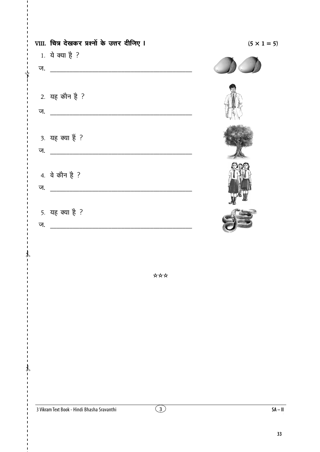|    | VIII. चित्र देखकर प्रश्नों के उत्तर दीजिए ।                                                                                              | $(5 \times 1 = 5)$ |
|----|------------------------------------------------------------------------------------------------------------------------------------------|--------------------|
|    | 1. ये क्या है ?                                                                                                                          |                    |
| ज. | <u> 1999 - Jan James James Barnett, fransk politik (d. 1989)</u>                                                                         |                    |
|    | 2. यह कौन है ?                                                                                                                           |                    |
| ज. |                                                                                                                                          |                    |
| ज. | 3. यह क्या हैं ?<br><u> 1989 - Johann Barbara, martin amerikan basal dan basal dan basal dan basal dan basal dan basal dan basal dan</u> |                    |
|    |                                                                                                                                          |                    |
| ज. | 4. वे कौन है ?                                                                                                                           |                    |
|    | 5. यह क्या है ?                                                                                                                          |                    |
| ज. |                                                                                                                                          |                    |
|    |                                                                                                                                          |                    |
|    |                                                                                                                                          |                    |
|    | ***                                                                                                                                      |                    |
|    |                                                                                                                                          |                    |
|    |                                                                                                                                          |                    |
|    |                                                                                                                                          |                    |
|    |                                                                                                                                          |                    |
|    |                                                                                                                                          |                    |
|    |                                                                                                                                          |                    |
|    |                                                                                                                                          |                    |

 $\overline{1}$  $\sqrt{ }$ 

 $\mathbf{I}$ 

ł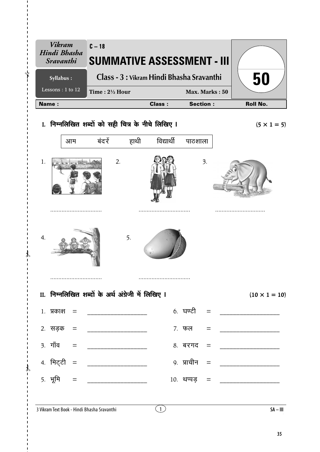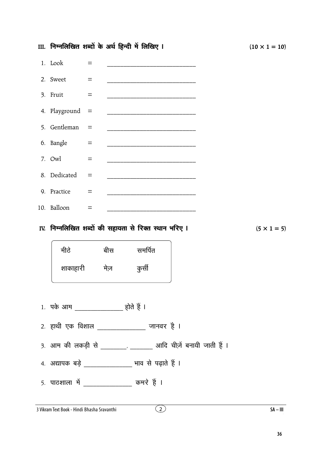

1. पके आम \_\_\_\_\_\_\_\_\_\_\_\_\_\_\_\_\_\_ होते हैं ।

III. निम्नलिखित शब्दों के अर्थ हिन्दी में लिखिए I

- 2. हाथी एक विशाल \_\_\_\_\_\_\_\_\_\_\_\_\_\_\_\_ जानवर है ।
- 3. आम की लकड़ी से \_\_\_\_\_\_\_\_, \_\_\_\_\_\_\_ आदि चीज़ें बनायी जाती हैं ।
- 4. अद्यापक बड़े \_\_\_\_\_\_\_\_\_\_\_\_\_\_\_ भाव से पढ़ाते हैं ।
- 5. पाठशाला में <u>| | | | | | | | | कमरे</u> हैं ।

3 Vikram Text Book - Hindi Bhasha Sravanthi

 $(10 \times 1 = 10)$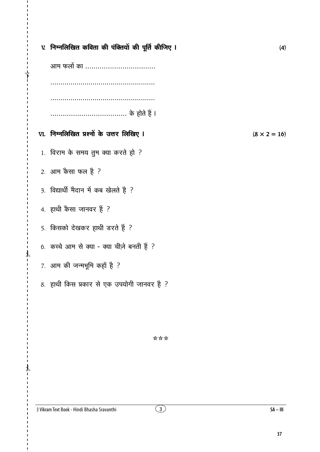| V. निम्नलिखित कविता की पंक्तियों की पूर्ति कीजिए । | (4)                 |
|----------------------------------------------------|---------------------|
| आम फलों का                                         |                     |
|                                                    |                     |
|                                                    |                     |
|                                                    |                     |
| VI. निम्नलिखित प्रश्नों के उत्तर लिखिए I           | $(8 \times 2 = 16)$ |
| 1. विराम के समय तुम क्या करते हो ?                 |                     |
| 2. आम कैसा फल है ?                                 |                     |
| 3. विद्यार्थी मैदान में कब खेलते है ?              |                     |
| 4. हाथी कैसा जानवर हैं ?                           |                     |
| 5. किसको देखकर हाथी डरते हैं ?                     |                     |
| 6. कच्चे आम से क्या - क्या चीज़े बनती हैं ?        |                     |
| 7. आम की जन्मभूमि कहाँ है ?                        |                     |
| 8. हाथी किस प्रकार से एक उपयोगी जानवर है ?         |                     |
|                                                    |                     |
|                                                    |                     |
| ***                                                |                     |
|                                                    |                     |
|                                                    |                     |

 $\mathbf{I}$  $\sqrt{ }$ 

 $\mathcal{X}$  $\mathbf{r}$ 

 $\mathcal{X}$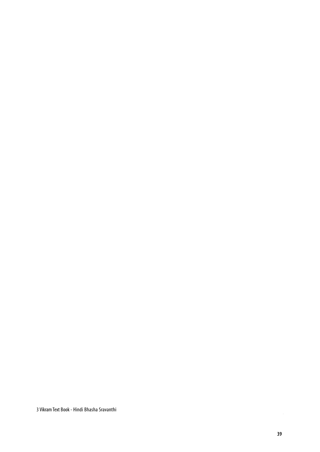3 Vikram Text Book - Hindi Bhasha Sravanthi